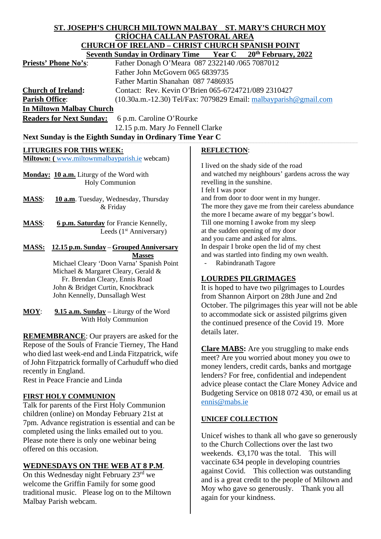# **ST. JOSEPH'S CHURCH MILTOWN MALBAY ST. MARY'S CHURCH MOY CRÍOCHA CALLAN PASTORAL AREA CHURCH OF IRELAND – CHRIST CHURCH SPANISH POINT**

|                                                                                  | Seventh Sunday in Ordinary Time Year C 20 <sup>th</sup> February, 2022    |                            |                                                                                                                                                 |  |  |
|----------------------------------------------------------------------------------|---------------------------------------------------------------------------|----------------------------|-------------------------------------------------------------------------------------------------------------------------------------------------|--|--|
| <b>Priests' Phone No's:</b>                                                      | Father Donagh O'Meara 087 2322140 /065 7087012                            |                            |                                                                                                                                                 |  |  |
|                                                                                  | Father John McGovern 065 6839735                                          |                            |                                                                                                                                                 |  |  |
| Father Martin Shanahan 087 7486935                                               |                                                                           |                            |                                                                                                                                                 |  |  |
| <b>Church of Ireland:</b><br>Contact: Rev. Kevin O'Brien 065-6724721/089 2310427 |                                                                           |                            |                                                                                                                                                 |  |  |
| <b>Parish Office:</b>                                                            |                                                                           |                            | $(10.30a.m.-12.30)$ Tel/Fax: 7079829 Email: $m$ albayparish@gmail.com                                                                           |  |  |
| <b>In Miltown Malbay Church</b>                                                  |                                                                           |                            |                                                                                                                                                 |  |  |
| <b>Readers for Next Sunday:</b>                                                  | 6 p.m. Caroline O'Rourke                                                  |                            |                                                                                                                                                 |  |  |
| 12.15 p.m. Mary Jo Fennell Clarke                                                |                                                                           |                            |                                                                                                                                                 |  |  |
| Next Sunday is the Eighth Sunday in Ordinary Time Year C                         |                                                                           |                            |                                                                                                                                                 |  |  |
| <b>LITURGIES FOR THIS WEEK:</b>                                                  |                                                                           | <b>REFLECTION:</b>         |                                                                                                                                                 |  |  |
| <b>Miltown:</b> (www.miltownmalbayparish.ie webcam)                              |                                                                           |                            |                                                                                                                                                 |  |  |
|                                                                                  | Monday: 10 a.m. Liturgy of the Word with<br>Holy Communion                | revelling in the sunshine. | I lived on the shady side of the road<br>and watched my neighbours' gardens across the way                                                      |  |  |
| <b>MASS:</b>                                                                     | <b>10 a.m.</b> Tuesday, Wednesday, Thursday<br>& Friday                   | I felt I was poor          | and from door to door went in my hunger.<br>The more they gave me from their careless abundance<br>the more I became aware of my beggar's bowl. |  |  |
| <b>MASS:</b>                                                                     | <b>6 p.m. Saturday</b> for Francie Kennelly,<br>Leeds $(1st$ Anniversary) |                            | Till one morning I awoke from my sleep<br>at the sudden opening of my door<br>and you came and asked for alms.                                  |  |  |
| <b>MASS:</b>                                                                     | <u> 12.15 p.m. Sunday – Grouped Anniversary</u>                           |                            | In despair I broke open the lid of my chest                                                                                                     |  |  |
|                                                                                  | <b>Masses</b>                                                             |                            | and was startled into finding my own wealth.                                                                                                    |  |  |
|                                                                                  | Michael Cleary 'Doon Varna' Spanish Point                                 |                            | Rabindranath Tagore                                                                                                                             |  |  |

## **LOURDES PILGRIMAGES**

It is hoped to have two pilgrimages to Lourdes from Shannon Airport on 28th June and 2nd October. The pilgrimages this year will not be able to accommodate sick or assisted pilgrims given the continued presence of the Covid 19. More details later.

**Clare MABS:** Are you struggling to make ends meet? Are you worried about money you owe to money lenders, credit cards, banks and mortgage lenders? For free, confidential and independent advice please contact the Clare Money Advice and Budgeting Service on 0818 072 430, or email us at [ennis@mabs.ie](mailto:ennis@mabs.ie)

### **UNICEF COLLECTION**

Unicef wishes to thank all who gave so generously to the Church Collections over the last two weekends.  $\bigoplus$ , 170 was the total. This will vaccinate 634 people in developing countries against Covid. This collection was outstanding and is a great credit to the people of Miltown and Moy who gave so generously. Thank you all again for your kindness.

 Michael & Margaret Cleary, Gerald & Fr. Brendan Cleary, Ennis Road John & Bridget Curtin, Knockbrack John Kennelly, Dunsallagh West

**MOY**: **9.15 a.m. Sunday** – Liturgy of the Word With Holy Communion

**REMEMBRANCE**: Our prayers are asked for the Repose of the Souls of Francie Tierney, The Hand who died last week-end and Linda Fitzpatrick, wife of John Fitzpatrick formally of Carhuduff who died recently in England.

Rest in Peace Francie and Linda

### **FIRST HOLY COMMUNION**

Talk for parents of the First Holy Communion children (online) on Monday February 21st at 7pm. Advance registration is essential and can be completed using the links emailed out to you. Please note there is only one webinar being offered on this occasion.

## **WEDNESDAYS ON THE WEB AT 8 P.M**.

On this Wednesday night February 23<sup>rd</sup> we welcome the Griffin Family for some good traditional music. Please log on to the Miltown Malbay Parish webcam.